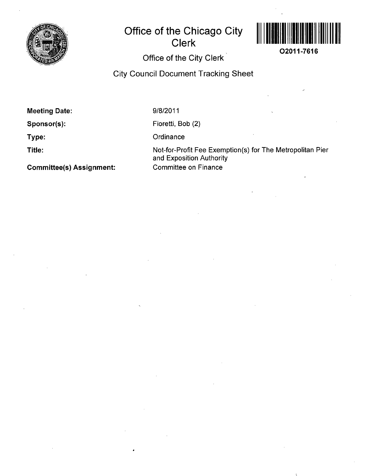

## **Office of the Chicago City Clerk**



**02011-7616** 

## Office of the City Clerk

City Council Document Tracking Sheet

Meeting Date:

Sponsor(s):

Type:

Title:

9/8/2011

Fioretti, Bob (2)

**Ordinance** 

Not-for-Profit Fee Exemption(s) for The Metropolitan Pier and Exposition Authority Committee on Finance

Committee(s) Assignment: